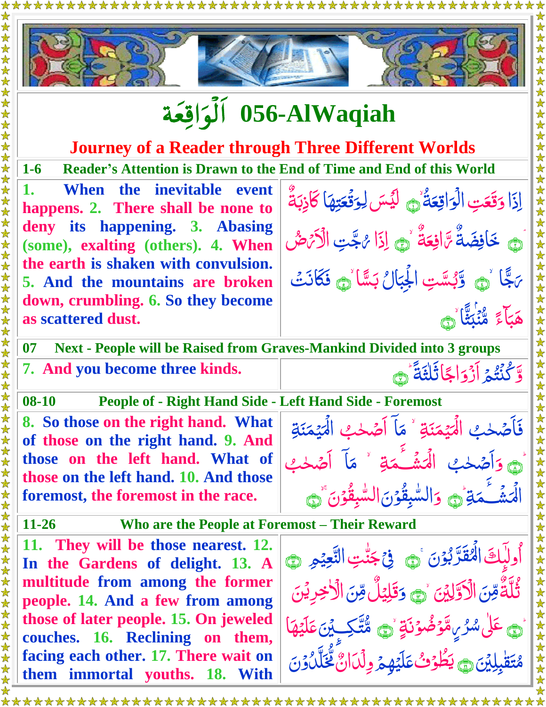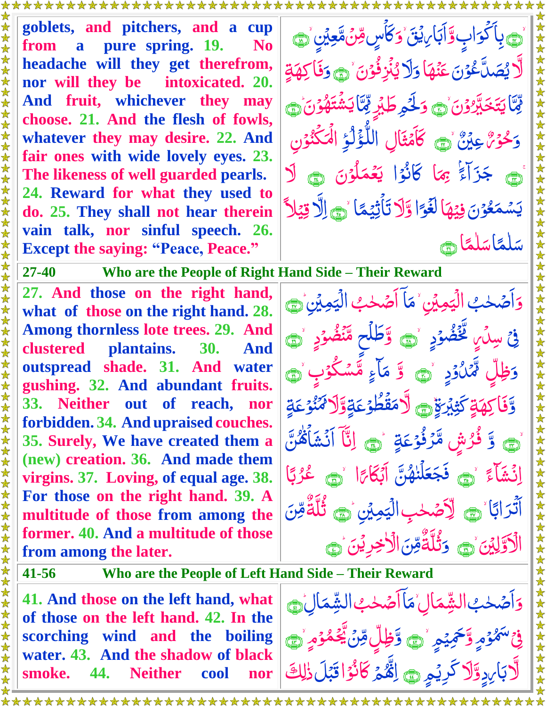**goblets, and pitchers, and a cup from a pure spring. 19. No headache will they get therefrom, nor will they be intoxicated. 20. And fruit, whichever they may choose. 21. And the flesh of fowls, whatever they may desire. 22. And fair ones with wide lovely eyes. 23. The likeness of well guarded pearls. 24. Reward for what they used to do. 25. They shall not hear therein vain talk, nor sinful speech. 26. Except the saying: "Peace, Peace."**

<u>پ</u> پاکواپ <u>َ</u> بِأَكْوَابٍ وَّأَبَابِ يُقَّ Ï <u>ُ</u><br>ا وَكَأْسٍ قِنْ مَّعِيْنٍ مَسَى  $\tilde{J}$  $\tilde{\cdot}$  $\sum_{i=1}^{n}$  $\zeta$ ل<br>ایل <u>ل</u>ى<br>ك ا<br>ا يُصَكَّعُوۡنَ عَنۡهَا وَلَا <u>أ</u> <u>مَ</u>  $\sum_{n=1}^{\infty}$ ن<br>مُ و ِ َ يُنُزِفُوۡنَ ۡ۞ <u>أ</u> ؤ اُ مگر  $\frac{1}{2}$ َ وَفَاكِهَةٍ َا  $\frac{1}{2}$ بالة  $\frac{1}{2}$ َ ن و َ ّي َ خ َ ت <u>ُ</u><br>ُ  $\overline{a}$ ار<br>ا يَتَخَبَّرُوْنَ ٰ ﴾ <u>ُ</u><br>ا وَلَحْمِ طَبْرِ ثَمَّ ار<br>نا لکو<br>م َا  $\frac{1}{2}$ j<br>2 َ ن و ه َ شت ز<br>م  $\overline{\mathcal{L}}$ ر<br>شون <u>ا</u><br>• يَشْتَهُوْنَ ١ َ و  $\tilde{\mathcal{J}}$ حْوَةٌ عِيْنٌ مَسَى كَامَثَالِ اللَُّّؤَلَّٰؤِ <u>أ</u> Í ر<br>ٱ  $\overline{\phantom{a}}$ ر<br>ا ر<br>ا لَمَكْنُوْنِ ا <u>أ</u>  $\lambda$ ِ جزاءَ ֺ֦֦֦֧֧֚֚֚֚֝֕֝֬֟֝֬֝֓֕֝֬֝֬֝֬֝֓֝֬֝֬֝֬֝֟֓֝֬֝֬֝֬֝֬֝֓֝֬֝֬֝֓֬֝֬֝֬֝֬֝֬֝֬֝֬֝֬֝֬֝֝֬֝֝֬֝֝֬<br>֧֪֪֧֪֪֧֝֝֝֝<br>֧֪֝ جَزَآءً<sup>'</sup> بِهَا **کر**<br>م بِهَا كَانُوۡا <mark>يَعۡمَلُوۡنَ</mark><br>ِ  $\ddot{\phantom{0}}$ لمۇن <u>أ</u>  $\mu$ ر<br>م م ع á يَعۡمَلُوۡنَ ۞ لَا َ ن و ع <u>ُ</u><br>ُ Í ا<br>م م س  $\tilde{a}$ يَسْمَعُوۡنَ فِيۡهَا لَغَوَا  $\frac{1}{2}$ ًّ لَغَوَا وَّلَا تَأْثِيْهَا د<br>کا <u>ق</u> <u>ل</u><br>م تَأْثِيْمًا ۚ۞ اِلَّا قِيْلاً  $\frac{1}{2}$ اُ<br>ار َا ں<br>ایک ا ً<br>أ م ل ٰ أم<br>ا سَلْمًاسَلْمًا <u>ً</u> م ل ٰ ن<br>-سَلْمًا ک

**27-40 Who are the People of Right Hand Side – Their Reward**

**27. And those on the right hand, what of those on the right hand. 28. Among thornless lote trees. 29. And clustered plantains. 30. And outspread shade. 31. And water gushing. 32. And abundant fruits. 33. Neither out of reach, nor forbidden. 34. And upraised couches. 35. Surely, We have created them a (new) creation. 36. And made them virgins. 37. Loving, of equal age. 38. For those on the right hand. 39. A multitude of those from among the former. 40. And a multitude of those from among the later.**

<u>ُ</u><br>ا وَأَصَّحْبُ الْيَمِيْنِ  $\frac{1}{\sqrt{2}}$ اً<br>ا  $\tilde{\downarrow}$ لَہِ<br>م لیک<br>م الۡيَمِيۡنِ ۡمَاۤ<br>َ مَاً اَصۡحٰبُ الۡيَمِيۡنِ  $\frac{1}{\sqrt{2}}$ ٰ  $\tilde{\downarrow}$ ل<br>په لیک<br>م الۡيَمِيۡنِ ۡ۞ <u>ئی</u> ا فِيْ سِنَ ٍ تَخْضُوۡدِ ۚ رَ وَطَلَحِ مِّنۡضُوۡدِ ۚ ر<br>پا <u>أ</u> Ï <u>أ</u>  $\ddot{\bm{\delta}}$ َ دَظِلٍّ لَّمَكُوْدٍ ۚ وَ يَا مَا ءِ  $\int$ <u>ُ</u><br>ا ĺ  $\ddot{\vec{r}}$ Ï م<br>م مَاءٍ مُّسَكُوۡبٍ ۡ۞ <u>أ</u> Ĩ  $\ddot{\bm{\delta}}$ وَّفَاكِهَةٍ كَثِبْرَةٍ Ï اسم<br>سا كَثِيْرَةٍ ۞ لَا مَقُطُوْعَةٍ لَو<br>پ  $\sum_{i=1}^{n}$ <u>ُ</u><br>ُ اً<br>م مَقَطُوْعَةٍوَّلَا *مَنْوُعَةٍ* ق<br>- $\tilde{\mathbf{A}}$ لي<br>ما ِ<br>ُ ُ وَ ذُرُشٍ مَّرُنُوْعَةٍ مَ إِنَّا آنَشَأَهُنَّ ر<br>ر  $\ddot{\bullet}$ <u>أ</u>  $\ddot{\bullet}$ ر<br>لا  $\ddot{\bm{\delta}}$ i<br>C  $\ddot{\cdot}$  $\tilde{\boldsymbol{\beta}}$ ِ<br>م اِنۡشَآءَ ۚ ۞ فَجَعَلۡنٰهُنَّ  $\ddot{\cdot}$  $\overline{\mathcal{L}}$ ٰ ع ُجَعَلۡنٰهُنَّ اَبۡكَاۃَا ن<br>كا اَبْكَاءًا ` <sub>ه</sub> عُرُبًا <u>رَ</u> لياً<br>ا ب ر<br>( ر ع ءَ<br>ِ ا <u>ب</u><br>• اب َ آَتْرَابًا ۚ ۞ لِٱضۡحٰبِ الۡيَمِيۡنِ اُمُّ ت ٰ ب<br>∕ ل<br>مر لیک<br>د الۡيَمِيۡنِ ۙ۞ <mark>ثُلَّةٌ</mark>مِّ  $\sum_{i=1}^{n}$ <u>بي</u> ن ِ َۡي ل الَّاوَلِيْنَ مَ  $\frac{1}{2}$ ُ<br>ا وَثَّلَةٌ  $\sum_{i=1}^{n}$ ا ∙<br>ا ن  $\frac{1}{2}$ الأخِرِيْنَ ١  $\frac{1}{2}$ 

**41-56 Who are the People of Left Hand Side – Their Reward**

**41. And those on the left hand, what of those on the left hand. 42. In the scorching wind and the boiling water. 43. And the shadow of black smoke. 44. Neither cool nor**

<u>ُ</u><br>ا وَأَصَّحْبُ الشَّمَالِ  $\ddot{\phantom{0}}$ اللہ میں اس کا اس کا اس کا اس کا اس کا اس کا اس کا اس کا اس کا اس کا اس کا اس کا اس کا اس کا اس کا اس کا اس کا<br>اس کا اس کا اس کا اس کا اس کا اس کا اس کا اس کا اس کا اس کا اس کا اس کا اس کا اس کا اس کا اس کا اس کا اس کا اس  $\tilde{\downarrow}$ **م**<br>م النِّمَالِ ْمَآ  $\sum_{i=1}^{n}$ ا<br>م مَا اَصَحْبُ الشَّمَالِ  $\ddot{\phantom{0}}$ ٰ  $\tilde{\downarrow}$ ا<br>م الشِّمَالِ  $\frac{1}{2}$ ے<br>، ف<sup>ى سَ</sup>مُّوۡمٍ وَّحۡمِيۡمِ ۚ ۞ وَّظِلِّ مِّنۡ يَّخۡمُوۡمٍ ۚ ۞ <u>أ</u>  $\lambda$ <u>ق</u>  $\frac{1}{2}$ Ï  $\sum_{i=1}^n$  $\frac{1}{2}$  $\sum_{i=1}^{n}$ <u>أ</u>  $\lambda$ اُ<br>گ  $\frac{1}{2}$ لَّا بِدِوَّلَا كَرِيْمٍ ٢ لِقَّهُمْ كَانُوْا قَبْلَ ذٰلِكَ ب ق<br>= ֦֦֬֝<u>֓</u> ہ<br>ا  $\tilde{ }$ Š <u>أ</u> ֦֧֝<br>֚֝<br>֚֝ ل ֖֖֖֖֖֧֖֧֚֚֚֚֚֚֚֚֚֚֚֚֚֚֚֬֝֝<u>֚</u><br>֧֪֪֪֪֩֩

\*\*\*\*\*\*\*\*\*\*\*\*\*\*\*\*\*\*\*\*\*\*\*\*\*\* \*\*\*\*\*\*\*\*\*\*\*\*\*\*\*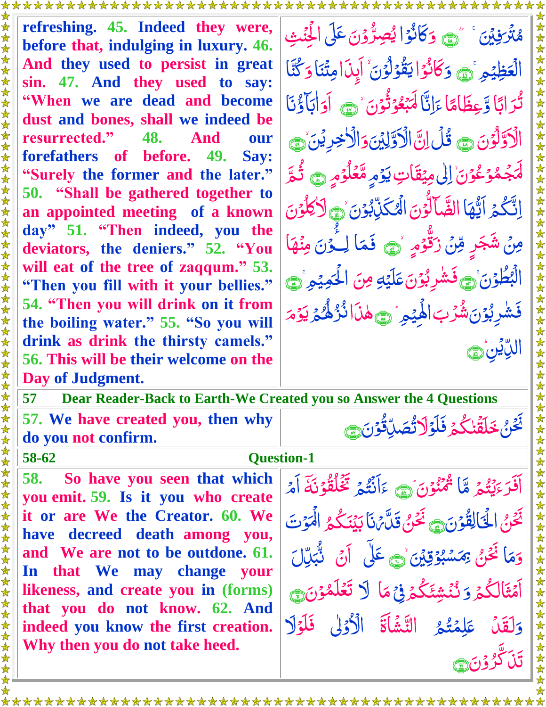**refreshing. 45. Indeed they were, before that, indulging in luxury. 46. And they used to persist in great sin. 47. And they used to say: "When we are dead and become dust and bones, shall we indeed be resurrected." 48. And our forefathers of before. 49. Say: "Surely the former and the later." 50. "Shall be gathered together to an appointed meeting of a known day" 51. "Then indeed, you the deviators, the deniers." 52. "You will eat of the tree of zaqqum." 53. "Then you fill with it your bellies." 54. "Then you will drink on it from the boiling water." 55. "So you will drink as drink the thirsty camels." 56. This will be their welcome on the Day of Judgment.**

فيتني ا<br>ا مُتَرَفِينَ ۚ أَنَّ بُو<br>لڳ í<br>S وَكَانُوْا ر<br>ا  $\ddot{\phantom{0}}$ ا<br>ا يُصِرُّوۡنَ عَلَى الۡجِنۡثِ ن<br>ِ نا<br>لہ رٌ  $\frac{1}{2}$  $\tilde{\mathbf{A}}$ ا م ظي  $\frac{1}{2}$ <u>أ</u> الۡعَظِيۡمِ ۚ<br>ٛ وَكَانُوۡ النَّقُوۡلُوۡنَ <u>أ</u>  $\ddot{\phantom{0}}$ قۇلۇن <u>أ</u>  $\frac{1}{2}$ ل <u>أ</u>  $\frac{1}{2}$ يَقُوۡلُوۡنَ ۙ إِنَا مِتَّنَا .<br>ڊ أوّلًا و<br>ا وَ كُنَّا  $\ddot{\ddot{\bm{x}}}$ and the second second second second second second second second second second second second second second second ا <u>ليا</u><br>. اب ر<br>( رَابًا وَّعِظَاهَا ڒ م<br>ڏ Ï عِظَامًا ءَانَّا  $\ddot{\phantom{0}}$ ا ءَ ء ِ َ ب<u>ْعُوْثُونَ</u> <u>أ</u> <u>ُ</u><br>ا Í  $\tilde{a}$ لي<br>ا لَّٰٓلِهِ وَقُوْنَ ۚ رَبِّيَ <u>ُ</u><br>ا <u>آداباً وُ</u>مَا  $\sum_{i=1}^{n}$ ب َ الْأَوَّلُوْنَ ٢ قُلْ إِنَّ الْأَوَّلِيْنَ <u>أ</u>  $\frac{1}{2}$ ل <u>ق</u> Î  $\ddot{\cdot}$ ل الْکُ Ï <u>ُ</u><br>پ وَالَأَخِرِيْنَ<br>ِ ار<br>ا نۙ َ ۣ <u>ُ</u><br>ُ <u>مُ</u> <u>ٱ</u><br>.  $\lambda$ ۡ لم<br>ا لْمَجْمُوۡعُوۡنَ ٰ لِیٰ مِیۡقَاتِ یَوۡمِ مَّعۡلُوۡمِ ۞ ثُمَّ َا  $\frac{1}{2}$ <u>ُرُ</u> <u>أ</u>  $\mu$ á  $\ddot{\bm{\delta}}$  $\tilde{\lambda}$ ۔<br>گ اِنَّكُمۡ اَيُّهَا ال  $\ddot{\phantom{0}}$  $\frac{1}{2}$  $\frac{1}{2}$ َ ضَّآلُونَ <u>ُ</u><br>ُ ý<br>) י<br>ל  $\ddot{\hat{c}}$ َ ن و ذ ب َك ۡۡل ۙ ِ <u>ُ</u><br>ُ  $\sum_{i=1}^{n}$  $\tilde{a}$ ا َ لأكلون <u>ُ</u><br>ُ  $\mu$  $\ddot{\cdot}$ مِنۡ شَجَرِ شَجَرٍ وِّنَ زَكَّوۡ مِ  $\frac{1}{2}$  $\sum_{i=1}^{n}$ <u>ُ</u><br>ُ  $\frac{1}{2}$ Ĭ زَقَّوْمٍ نَ َ ن و ٔـَ ا ل <u>ُرَ</u> ر<br>ا ا<br>م فَمَا لِخُنَ مِنْهَا ن<br>مُ الۡأ َ بُطُوْنَ ١ <u>أ</u>  $\frac{1}{2}$ َ فَشْرِبُوْنَ عَلَيْهِ <u>ُر</u><br>،  $\ddot{\phantom{0}}$  $\frac{1}{2}$ عَلَيْهِ  $\ddot{\cdot}$ مِنَ الْحَمِيْمِ  $\frac{1}{2}$ ن<br>ن لَحَمِيْهِ وَ ا َ ف َ .<br>شربۇن <u>أ</u>  $\sum_{i=1}^{n}$ ٰ  $\overline{a}$  $\frac{1}{2}$ شُرُبَ الْهِيْمِرُ رَحِمْنَا نُرُهُمْ ر<br>لا i<br>N  $\frac{1}{2}$ ا ٰ ہ<br>گ  $\frac{1}{2}$  $\frac{1}{2}$  $\ddot{\phantom{a}}$ ا<br>ا لِك<sup>و</sup>م <u>أ</u> ي اللاين  $\sum_{n=1}^{\infty}$ .<br>پا

ِ**57 Dear Reader-Back to Earth-We Created you so Answer the 4 Questions**

**57. We have created you, then why do you not confirm.** 

## **58-62 Question-1**

**58. So have you seen that which you emit. 59. Is it you who create it or are We the Creator. 60. We have decreed death among you, and We are not to be outdone. 61. In that We may change your likeness, and create you in (forms) that you do not know. 62. And indeed you know the first creation. Why then you do not take heed.**

ہ<br>گ وه د<br>ينگه i<br>1 ا<br>ا ءَ ءَ َ اَفَرَءَيۡتُمۡ مَّاَ  $\zeta$ ن<br>ا مُمْنُوْنَ <sub>ک</sub>ے ءَاَنَتُمْ <u>أ</u>  $\tilde{\lambda}$ ر<br>پا ہ<br>گ  $\ddot{\bm{x}}$ المجمع المستقبل المستقبل المستقبل المستقبل المستقبل المستقبل المستقبل المستقبل المستقبل المستقبل المستقبل المس<br>مستقبل المستقبل المستقبل المستقبل المستقبل المستقبل المستقبل المستقبل المستقبل المستقبل المستقبل المستقبل المس ءَ ءَاَنْتُمۡ يَخۡلُقُوۡنَهَۚ اَمۡ  $\overline{\phantom{a}}$ <u>أ</u>  $\tilde{c}$  $\mathfrak{c}$ ر<br>أم  $\frac{1}{2}$ نَ<u>حَ</u>يُّ اُ<br>گ َ الْحَالِقُوْنَ فَيَ قَدْنَ قَدَّمْنَا بَيْنَكُمُ الْمَوْتَ <u>أ</u> EXP  $\frac{1}{2}$ اُ<br>گ  $\tilde{J}$  $\tilde{\mathbf{z}}$ لَہ<br>م ار<br>الم لْمَوْتَ ا و<br>ا و ا ا<br>م وَمَا نَحْنُ بِمَسْبُوْقِيْنَ<br>م  $\frac{1}{2}$ اُ<br>گ <u>أ</u>  $\tilde{\mathbf{y}}$ <u>ú</u> ر<br>ا  $\ddot{ }$ *ِىمَسْبُوْقِيْنَ `۞ عَ*لَى اَنْ نُبُكِّل ن<br>ُ .<br>پا بہ<br>ب نَّبَلِّل نام<br>ما  $\sum_{i=1}^{n}$ ہ<br>گ أَمۡثَالُكُمۡ ر<br>ٱ َ <mark>ۯ</mark>ٮ۠ٛڹۘ۬ۺ*ؿ*ڴؽ<mark>ۯ</mark>ؿؚ۬ڡؘٳ ر<br>گ ن<br>مُ  $\ddot{\phantom{a}}$ ۡ م<br>م مَا لَا تَعْلَ á<br>Í ن<br>ا ن و م <u>أ</u>  $\lambda$ <u>ُ</u><br>ِ وَلَقَلْ عَلِمَتُمُ ل  $\tilde{\mathcal{S}}$  $\tilde{\lambda}$ ے<br>ا عَلِمۡتُمُ التَّشَاَٰةَ الْأَوۡلٰ فَلَوۡلَا  $\ddot{\tilde{}}$ <u>ُ</u><br>ُ <u>أ</u> <u>َ</u> َنَٱ كَّرُوۡنَ۞ <u>ُ</u><br>ا ر<br>\_

بالخون ر<br>ا Ĵ نُصَلِّقُو*َنَ* 

 $\frac{1}{2}$ 

اُ<br>گ

نَّحَنُ خَلَقَٰنكُمۡ فَلَوۡلَا تُّصَلِّقُوۡنَ

 $\tilde{a}$ 

ڒ

 $\tilde{\lambda}$ 

ٰ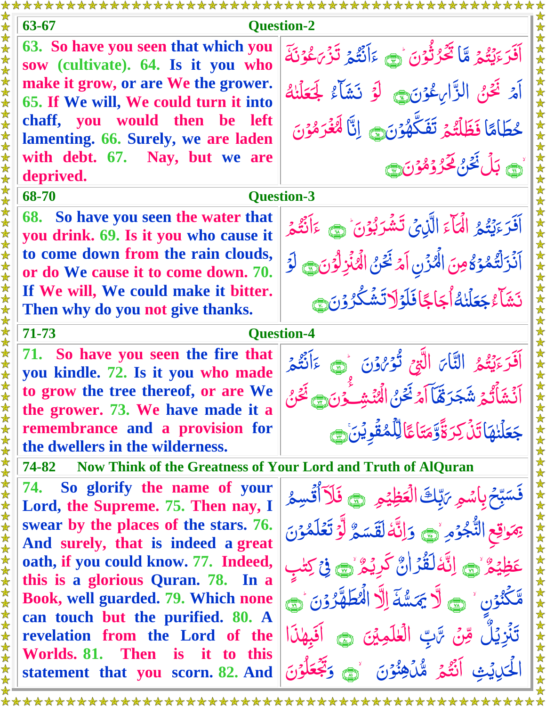| 63-67<br><b>Question-2</b>                                                                                                               |                                                                                        |
|------------------------------------------------------------------------------------------------------------------------------------------|----------------------------------------------------------------------------------------|
| 63. So have you seen that which you<br>₩<br>sow (cultivate). 64. Is it you who<br>$\bigstar$                                             | أَفَرَّءَيْتُمْ مَّا تَكُرُّنُونَ رَبِّيَ ءَاَنَتُمْ تَزْيَكُوْنَةَ                    |
| $\bigstar$<br>make it grow, or are We the grower.<br>$\bigstar$<br>65. If We will, We could turn it into<br>$\bigstar$                   | 女女女女女女女女女女女<br>آَمَرْ نَحْنُ الزَّارِعُوْنَ وَ لَوْ نَشَأَءُ لِمَحَلَّنُهُ             |
| $\color{red} \bigstar$<br>chaff, you would then be left<br>$\bigstar$<br>$\bigstar$<br>lamenting. 66. Surely, we are laden<br>$\bigstar$ | حُطَامًا فَظَلَّتُمْ تَفَكَّهُوۡنَ إِنَّا لَهُغَرَمُوۡنَ                               |
| $\star$<br>with debt. 67. Nay, but we are<br>deprived.                                                                                   | <u>َاڻَ</u> بَلُ <sup>نَ</sup> حْنُ لَحَرُ دُمُوْنَ ٢                                  |
| 68-70<br><b>Question-3</b>                                                                                                               |                                                                                        |
| 68. So have you seen the water that<br>you drink. 69. Is it you who cause it                                                             | أَفَرَءَيْتُمُ الْمَأْءَ الَّذِيْ تَشْرَبُوْنَ ْ وَ ءَاَنْتُمْ                         |
| to come down from the rain clouds,<br>黄黄<br>or do We cause it to come down. 70.                                                          | 女女女女女女女<br>آَنُزَلَّتُمُوۡ كُلُّ مِنَ الْمُزۡنِ اَمۡ نَحۡنُ الۡهُٰٓنَٰٓزِلۡوَنَ ﴾ لَوۡ |
| 女女<br>If We will, We could make it bitter.<br>Then why do you not give thanks.<br>$\bigstar$                                             | نَشَأْءُ جَعَلْنِهُ أَجَاجًا فَلَوْلَاتَشَكْرُوْنَ ،                                   |
| $\blacktriangle$<br>$\bigstar$<br>71-73<br><b>Question-4</b><br>$\blacktriangle$                                                         |                                                                                        |
| 71. So have you seen the fire that<br>you kindle. 72. Is it you who made                                                                 | 女女女女女<br>أَفَرَءَيْتُمُ النَّاىَ الَّتِيحَ تُؤْرُوْنَ رَبِّ ءَأَبْيُمْ                 |
| to grow the tree thereof, or are We<br>the grower. 73. We have made it a                                                                 | أَنْشَأَتُمْ شَجَرَهَّا آمْ نَحْنُ الْمُنْشِخُرْنَ ﴾ فَحَنْ                            |
| 女女女女女<br>remembrance and a provision for<br>the dwellers in the wilderness.                                                              | جَعَلْنِهَاتَنْ كِرَةَّوَّمَتَاعًالِلَّمُقُويْنَ ٢                                     |
| 女女女女女女女女女女女女女女女女女女女女女女女女女<br>女女<br>74-82<br>Now Think of the Greatness of Your Lord and Truth of AlQuran                                 |                                                                                        |
| 74. So glorify the name of your<br>Lord, the Supreme. 75. Then nay, I                                                                    | فَسَبِّحْ بِاسْمِ رَبِّكَ الْعَظِيْمِ ۚ ﴾ فَلَآ أُقْسِمُ                               |
| swear by the places of the stars. 76.<br>And surely, that is indeed a great                                                              | يَمَوْقِعِ النُّجُوْمِ رَبِّي وَإِنَّهُ لَقَسَمٌ لَّوَ تَعَلَّمُوْنَ                   |
| oath, if you could know. 77. Indeed,<br>this is a glorious Quran. 78. In a                                                               | عَظِيْمٌ وَ اِنَّهْ لَقُرْانٌ كَرِيْمٌ وَ فِي كِتْبِ                                   |
| Book, well guarded. 79. Which none<br>can touch but the purified. 80. A                                                                  | مَّكْنُوْنِ ۚ ۞ لَا يَمَسُّهَ إِلَّا الْمُطَهَّرُوْنَ ۞                                |
| 女女女女女女女女女女女女女女女女女<br>revelation from the Lord of the<br>Worlds. 81. Then<br><i>is</i><br>it to this                                      | تَنْزِيْلٌ مِّنْ تَّابِّ الْعٰلَمِيْنَ ۞ اَفَبِهٰذَا                                   |
| 大女<br>statement that you scorn. 82. And                                                                                                  | الْحَيْدِيْثِ أَنْثَمَرَ مُّلْكِفِنُوْنَ لَهِ وَتَجْعَلُوْنَ                           |
|                                                                                                                                          |                                                                                        |

₩